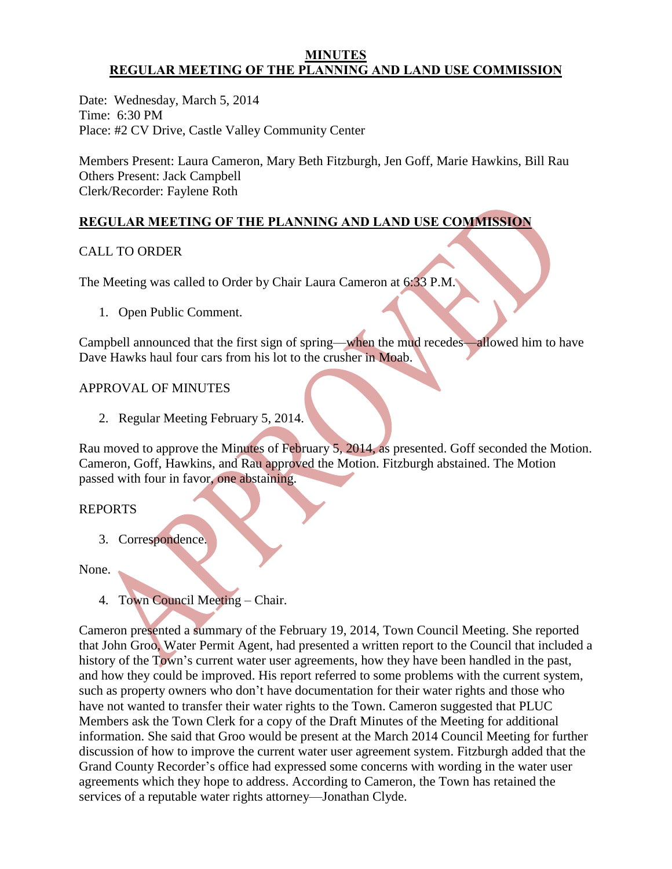#### **MINUTES REGULAR MEETING OF THE PLANNING AND LAND USE COMMISSION**

Date: Wednesday, March 5, 2014 Time: 6:30 PM Place: #2 CV Drive, Castle Valley Community Center

Members Present: Laura Cameron, Mary Beth Fitzburgh, Jen Goff, Marie Hawkins, Bill Rau Others Present: Jack Campbell Clerk/Recorder: Faylene Roth

# **REGULAR MEETING OF THE PLANNING AND LAND USE COMMISSION**

## CALL TO ORDER

The Meeting was called to Order by Chair Laura Cameron at 6:33 P.M.

1. Open Public Comment.

Campbell announced that the first sign of spring—when the mud recedes—allowed him to have Dave Hawks haul four cars from his lot to the crusher in Moab.

#### APPROVAL OF MINUTES

2. Regular Meeting February 5, 2014.

Rau moved to approve the Minutes of February 5, 2014, as presented. Goff seconded the Motion. Cameron, Goff, Hawkins, and Rau approved the Motion. Fitzburgh abstained. The Motion passed with four in favor, one abstaining.

#### REPORTS

3. Correspondence.

None.

4. Town Council Meeting – Chair.

Cameron presented a summary of the February 19, 2014, Town Council Meeting. She reported that John Groo, Water Permit Agent, had presented a written report to the Council that included a history of the Town's current water user agreements, how they have been handled in the past, and how they could be improved. His report referred to some problems with the current system, such as property owners who don't have documentation for their water rights and those who have not wanted to transfer their water rights to the Town. Cameron suggested that PLUC Members ask the Town Clerk for a copy of the Draft Minutes of the Meeting for additional information. She said that Groo would be present at the March 2014 Council Meeting for further discussion of how to improve the current water user agreement system. Fitzburgh added that the Grand County Recorder's office had expressed some concerns with wording in the water user agreements which they hope to address. According to Cameron, the Town has retained the services of a reputable water rights attorney—Jonathan Clyde.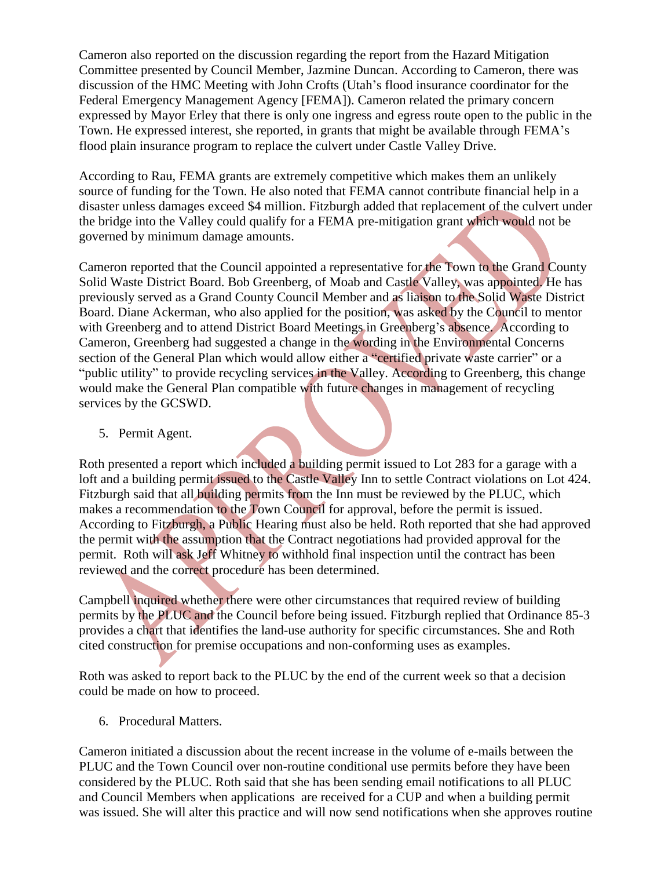Cameron also reported on the discussion regarding the report from the Hazard Mitigation Committee presented by Council Member, Jazmine Duncan. According to Cameron, there was discussion of the HMC Meeting with John Crofts (Utah's flood insurance coordinator for the Federal Emergency Management Agency [FEMA]). Cameron related the primary concern expressed by Mayor Erley that there is only one ingress and egress route open to the public in the Town. He expressed interest, she reported, in grants that might be available through FEMA's flood plain insurance program to replace the culvert under Castle Valley Drive.

According to Rau, FEMA grants are extremely competitive which makes them an unlikely source of funding for the Town. He also noted that FEMA cannot contribute financial help in a disaster unless damages exceed \$4 million. Fitzburgh added that replacement of the culvert under the bridge into the Valley could qualify for a FEMA pre-mitigation grant which would not be governed by minimum damage amounts.

Cameron reported that the Council appointed a representative for the Town to the Grand County Solid Waste District Board. Bob Greenberg, of Moab and Castle Valley, was appointed. He has previously served as a Grand County Council Member and as liaison to the Solid Waste District Board. Diane Ackerman, who also applied for the position, was asked by the Council to mentor with Greenberg and to attend District Board Meetings in Greenberg's absence. According to Cameron, Greenberg had suggested a change in the wording in the Environmental Concerns section of the General Plan which would allow either a "certified private waste carrier" or a "public utility" to provide recycling services in the Valley. According to Greenberg, this change would make the General Plan compatible with future changes in management of recycling services by the GCSWD.

## 5. Permit Agent.

Roth presented a report which included a building permit issued to Lot 283 for a garage with a loft and a building permit issued to the Castle Valley Inn to settle Contract violations on Lot 424. Fitzburgh said that all building permits from the Inn must be reviewed by the PLUC, which makes a recommendation to the Town Council for approval, before the permit is issued. According to Fitzburgh, a Public Hearing must also be held. Roth reported that she had approved the permit with the assumption that the Contract negotiations had provided approval for the permit. Roth will ask Jeff Whitney to withhold final inspection until the contract has been reviewed and the correct procedure has been determined.

Campbell inquired whether there were other circumstances that required review of building permits by the PLUC and the Council before being issued. Fitzburgh replied that Ordinance 85-3 provides a chart that identifies the land-use authority for specific circumstances. She and Roth cited construction for premise occupations and non-conforming uses as examples.

Roth was asked to report back to the PLUC by the end of the current week so that a decision could be made on how to proceed.

6. Procedural Matters.

Cameron initiated a discussion about the recent increase in the volume of e-mails between the PLUC and the Town Council over non-routine conditional use permits before they have been considered by the PLUC. Roth said that she has been sending email notifications to all PLUC and Council Members when applications are received for a CUP and when a building permit was issued. She will alter this practice and will now send notifications when she approves routine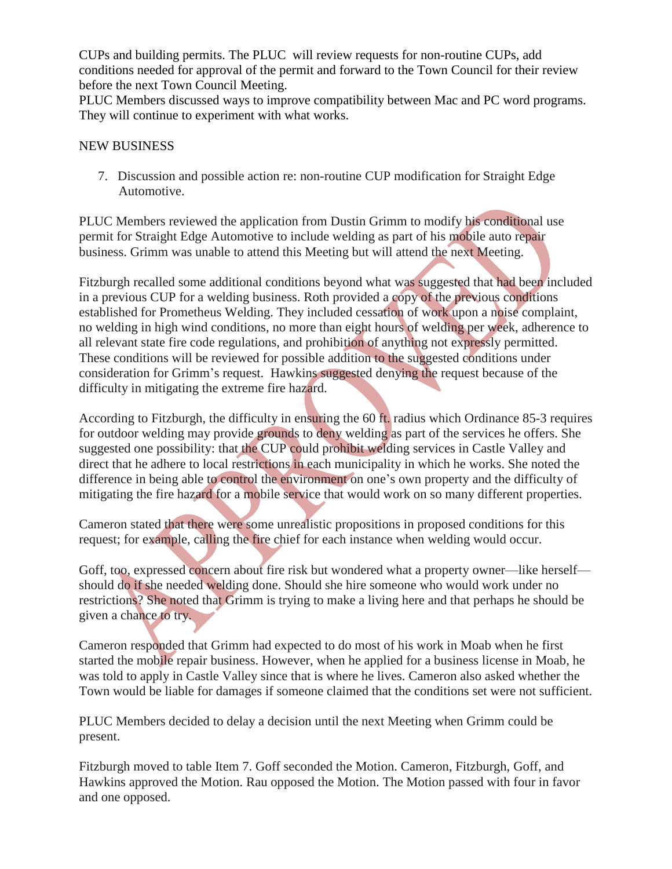CUPs and building permits. The PLUC will review requests for non-routine CUPs, add conditions needed for approval of the permit and forward to the Town Council for their review before the next Town Council Meeting.

PLUC Members discussed ways to improve compatibility between Mac and PC word programs. They will continue to experiment with what works.

#### NEW BUSINESS

7. Discussion and possible action re: non-routine CUP modification for Straight Edge Automotive.

PLUC Members reviewed the application from Dustin Grimm to modify his conditional use permit for Straight Edge Automotive to include welding as part of his mobile auto repair business. Grimm was unable to attend this Meeting but will attend the next Meeting.

Fitzburgh recalled some additional conditions beyond what was suggested that had been included in a previous CUP for a welding business. Roth provided a copy of the previous conditions established for Prometheus Welding. They included cessation of work upon a noise complaint, no welding in high wind conditions, no more than eight hours of welding per week, adherence to all relevant state fire code regulations, and prohibition of anything not expressly permitted. These conditions will be reviewed for possible addition to the suggested conditions under consideration for Grimm's request. Hawkins suggested denying the request because of the difficulty in mitigating the extreme fire hazard.

According to Fitzburgh, the difficulty in ensuring the 60 ft. radius which Ordinance 85-3 requires for outdoor welding may provide grounds to deny welding as part of the services he offers. She suggested one possibility: that the CUP could prohibit welding services in Castle Valley and direct that he adhere to local restrictions in each municipality in which he works. She noted the difference in being able to control the environment on one's own property and the difficulty of mitigating the fire hazard for a mobile service that would work on so many different properties.

Cameron stated that there were some unrealistic propositions in proposed conditions for this request; for example, calling the fire chief for each instance when welding would occur.

Goff, too, expressed concern about fire risk but wondered what a property owner—like herself should do if she needed welding done. Should she hire someone who would work under no restrictions? She noted that Grimm is trying to make a living here and that perhaps he should be given a chance to try.

Cameron responded that Grimm had expected to do most of his work in Moab when he first started the mobile repair business. However, when he applied for a business license in Moab, he was told to apply in Castle Valley since that is where he lives. Cameron also asked whether the Town would be liable for damages if someone claimed that the conditions set were not sufficient.

PLUC Members decided to delay a decision until the next Meeting when Grimm could be present.

Fitzburgh moved to table Item 7. Goff seconded the Motion. Cameron, Fitzburgh, Goff, and Hawkins approved the Motion. Rau opposed the Motion. The Motion passed with four in favor and one opposed.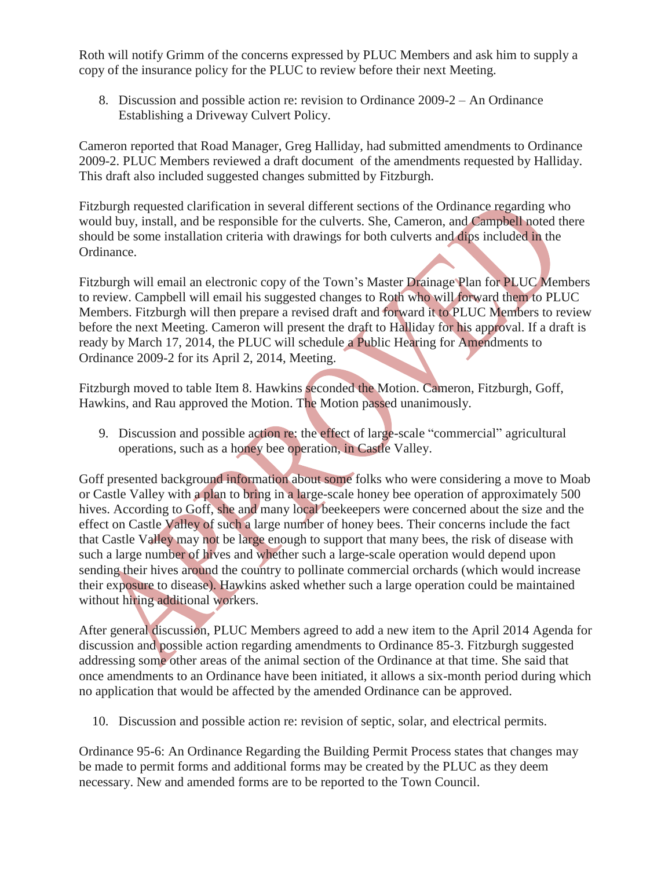Roth will notify Grimm of the concerns expressed by PLUC Members and ask him to supply a copy of the insurance policy for the PLUC to review before their next Meeting.

 8. Discussion and possible action re: revision to Ordinance 2009-2 – An Ordinance Establishing a Driveway Culvert Policy.

Cameron reported that Road Manager, Greg Halliday, had submitted amendments to Ordinance 2009-2. PLUC Members reviewed a draft document of the amendments requested by Halliday. This draft also included suggested changes submitted by Fitzburgh.

Fitzburgh requested clarification in several different sections of the Ordinance regarding who would buy, install, and be responsible for the culverts. She, Cameron, and Campbell noted there should be some installation criteria with drawings for both culverts and dips included in the Ordinance.

Fitzburgh will email an electronic copy of the Town's Master Drainage Plan for PLUC Members to review. Campbell will email his suggested changes to Roth who will forward them to PLUC Members. Fitzburgh will then prepare a revised draft and forward it to PLUC Members to review before the next Meeting. Cameron will present the draft to Halliday for his approval. If a draft is ready by March 17, 2014, the PLUC will schedule a Public Hearing for Amendments to Ordinance 2009-2 for its April 2, 2014, Meeting.

Fitzburgh moved to table Item 8. Hawkins seconded the Motion. Cameron, Fitzburgh, Goff, Hawkins, and Rau approved the Motion. The Motion passed unanimously.

 9. Discussion and possible action re: the effect of large-scale "commercial" agricultural operations, such as a honey bee operation, in Castle Valley.

Goff presented background information about some folks who were considering a move to Moab or Castle Valley with a plan to bring in a large-scale honey bee operation of approximately 500 hives. According to Goff, she and many local beekeepers were concerned about the size and the effect on Castle Valley of such a large number of honey bees. Their concerns include the fact that Castle Valley may not be large enough to support that many bees, the risk of disease with such a large number of hives and whether such a large-scale operation would depend upon sending their hives around the country to pollinate commercial orchards (which would increase their exposure to disease). Hawkins asked whether such a large operation could be maintained without hiring additional workers.

After general discussion, PLUC Members agreed to add a new item to the April 2014 Agenda for discussion and possible action regarding amendments to Ordinance 85-3. Fitzburgh suggested addressing some other areas of the animal section of the Ordinance at that time. She said that once amendments to an Ordinance have been initiated, it allows a six-month period during which no application that would be affected by the amended Ordinance can be approved.

10. Discussion and possible action re: revision of septic, solar, and electrical permits.

Ordinance 95-6: An Ordinance Regarding the Building Permit Process states that changes may be made to permit forms and additional forms may be created by the PLUC as they deem necessary. New and amended forms are to be reported to the Town Council.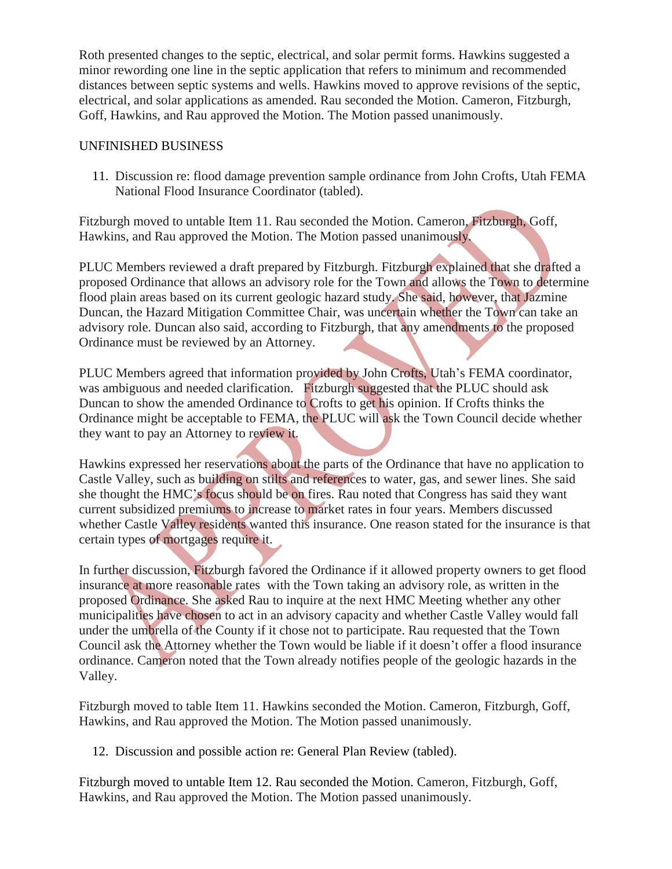Roth presented changes to the septic, electrical, and solar permit forms. Hawkins suggested a minor rewording one line in the septic application that refers to minimum and recommended distances between septic systems and wells. Hawkins moved to approve revisions of the septic, electrical, and solar applications as amended. Rau seconded the Motion. Cameron, Fitzburgh, Goff, Hawkins, and Rau approved the Motion. The Motion passed unanimously.

#### UNFINISHED BUSINESS

 11. Discussion re: flood damage prevention sample ordinance from John Crofts, Utah FEMA National Flood Insurance Coordinator (tabled).

Fitzburgh moved to untable Item 11. Rau seconded the Motion. Cameron, Fitzburgh, Goff, Hawkins, and Rau approved the Motion. The Motion passed unanimously.

PLUC Members reviewed a draft prepared by Fitzburgh. Fitzburgh explained that she drafted a proposed Ordinance that allows an advisory role for the Town and allows the Town to determine flood plain areas based on its current geologic hazard study. She said, however, that Jazmine Duncan, the Hazard Mitigation Committee Chair, was uncertain whether the Town can take an advisory role. Duncan also said, according to Fitzburgh, that any amendments to the proposed Ordinance must be reviewed by an Attorney.

PLUC Members agreed that information provided by John Crofts, Utah's FEMA coordinator, was ambiguous and needed clarification. Fitzburgh suggested that the PLUC should ask Duncan to show the amended Ordinance to Crofts to get his opinion. If Crofts thinks the Ordinance might be acceptable to FEMA, the PLUC will ask the Town Council decide whether they want to pay an Attorney to review it.

Hawkins expressed her reservations about the parts of the Ordinance that have no application to Castle Valley, such as building on stilts and references to water, gas, and sewer lines. She said she thought the HMC's focus should be on fires. Rau noted that Congress has said they want current subsidized premiums to increase to market rates in four years. Members discussed whether Castle Valley residents wanted this insurance. One reason stated for the insurance is that certain types of mortgages require it.

In further discussion, Fitzburgh favored the Ordinance if it allowed property owners to get flood insurance at more reasonable rates with the Town taking an advisory role, as written in the proposed Ordinance. She asked Rau to inquire at the next HMC Meeting whether any other municipalities have chosen to act in an advisory capacity and whether Castle Valley would fall under the umbrella of the County if it chose not to participate. Rau requested that the Town Council ask the Attorney whether the Town would be liable if it doesn't offer a flood insurance ordinance. Cameron noted that the Town already notifies people of the geologic hazards in the Valley.

Fitzburgh moved to table Item 11. Hawkins seconded the Motion. Cameron, Fitzburgh, Goff, Hawkins, and Rau approved the Motion. The Motion passed unanimously.

12. Discussion and possible action re: General Plan Review (tabled).

Fitzburgh moved to untable Item 12. Rau seconded the Motion. Cameron, Fitzburgh, Goff, Hawkins, and Rau approved the Motion. The Motion passed unanimously.